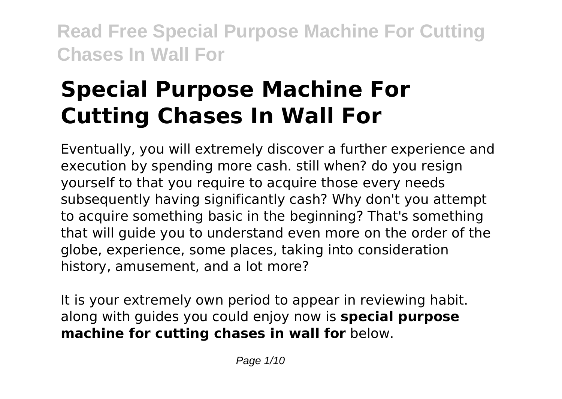# **Special Purpose Machine For Cutting Chases In Wall For**

Eventually, you will extremely discover a further experience and execution by spending more cash. still when? do you resign yourself to that you require to acquire those every needs subsequently having significantly cash? Why don't you attempt to acquire something basic in the beginning? That's something that will guide you to understand even more on the order of the globe, experience, some places, taking into consideration history, amusement, and a lot more?

It is your extremely own period to appear in reviewing habit. along with guides you could enjoy now is **special purpose machine for cutting chases in wall for** below.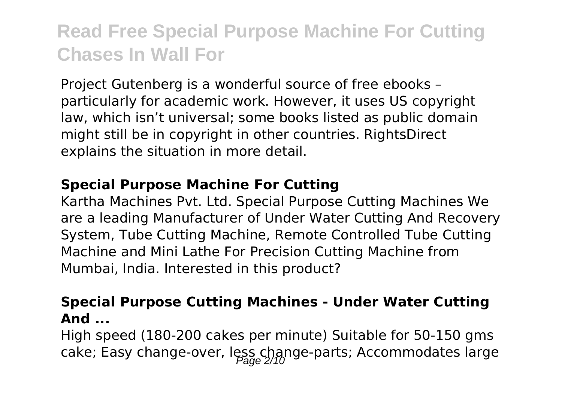Project Gutenberg is a wonderful source of free ebooks – particularly for academic work. However, it uses US copyright law, which isn't universal; some books listed as public domain might still be in copyright in other countries. RightsDirect explains the situation in more detail.

#### **Special Purpose Machine For Cutting**

Kartha Machines Pvt. Ltd. Special Purpose Cutting Machines We are a leading Manufacturer of Under Water Cutting And Recovery System, Tube Cutting Machine, Remote Controlled Tube Cutting Machine and Mini Lathe For Precision Cutting Machine from Mumbai, India. Interested in this product?

#### **Special Purpose Cutting Machines - Under Water Cutting And ...**

High speed (180-200 cakes per minute) Suitable for 50-150 gms cake; Easy change-over, less change-parts; Accommodates large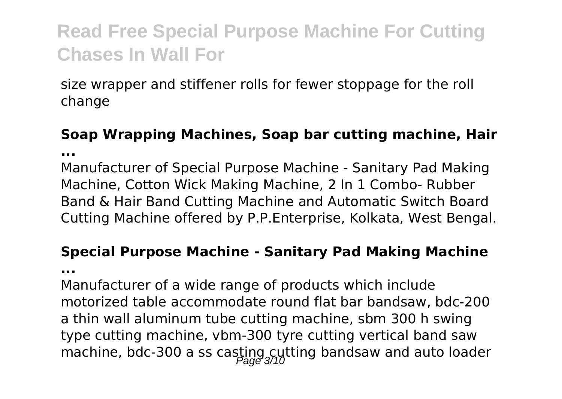size wrapper and stiffener rolls for fewer stoppage for the roll change

### **Soap Wrapping Machines, Soap bar cutting machine, Hair ...**

Manufacturer of Special Purpose Machine - Sanitary Pad Making Machine, Cotton Wick Making Machine, 2 In 1 Combo- Rubber Band & Hair Band Cutting Machine and Automatic Switch Board Cutting Machine offered by P.P.Enterprise, Kolkata, West Bengal.

### **Special Purpose Machine - Sanitary Pad Making Machine**

**...**

Manufacturer of a wide range of products which include motorized table accommodate round flat bar bandsaw, bdc-200 a thin wall aluminum tube cutting machine, sbm 300 h swing type cutting machine, vbm-300 tyre cutting vertical band saw machine, bdc-300 a ss casting cytting bandsaw and auto loader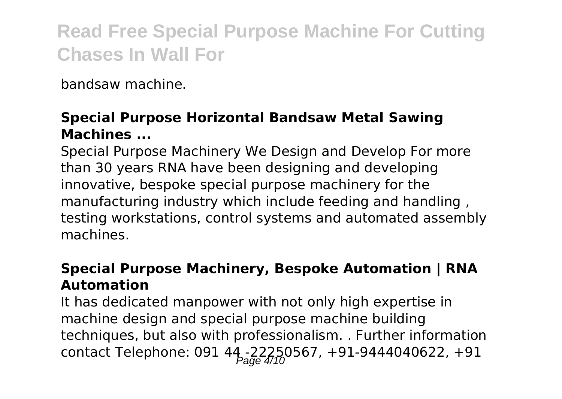bandsaw machine.

#### **Special Purpose Horizontal Bandsaw Metal Sawing Machines ...**

Special Purpose Machinery We Design and Develop For more than 30 years RNA have been designing and developing innovative, bespoke special purpose machinery for the manufacturing industry which include feeding and handling , testing workstations, control systems and automated assembly machines.

#### **Special Purpose Machinery, Bespoke Automation | RNA Automation**

It has dedicated manpower with not only high expertise in machine design and special purpose machine building techniques, but also with professionalism. . Further information contact Telephone: 091 44 -22250567, +91-9444040622, +91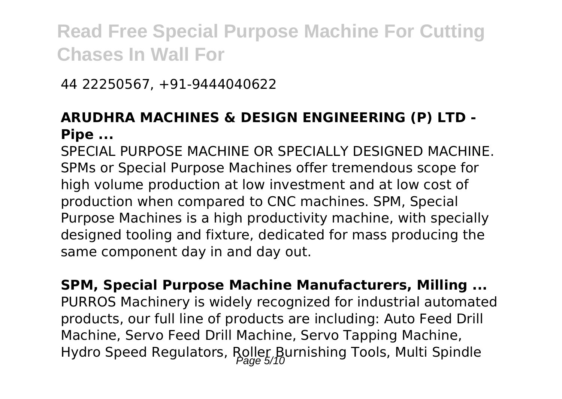44 22250567, +91-9444040622

### **ARUDHRA MACHINES & DESIGN ENGINEERING (P) LTD - Pipe ...**

SPECIAL PURPOSE MACHINE OR SPECIALLY DESIGNED MACHINE. SPMs or Special Purpose Machines offer tremendous scope for high volume production at low investment and at low cost of production when compared to CNC machines. SPM, Special Purpose Machines is a high productivity machine, with specially designed tooling and fixture, dedicated for mass producing the same component day in and day out.

**SPM, Special Purpose Machine Manufacturers, Milling ...** PURROS Machinery is widely recognized for industrial automated products, our full line of products are including: Auto Feed Drill Machine, Servo Feed Drill Machine, Servo Tapping Machine, Hydro Speed Regulators, Roller Burnishing Tools, Multi Spindle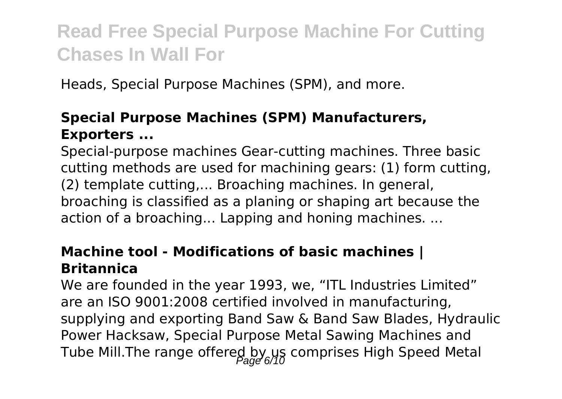Heads, Special Purpose Machines (SPM), and more.

### **Special Purpose Machines (SPM) Manufacturers, Exporters ...**

Special-purpose machines Gear-cutting machines. Three basic cutting methods are used for machining gears: (1) form cutting, (2) template cutting,... Broaching machines. In general, broaching is classified as a planing or shaping art because the action of a broaching... Lapping and honing machines. ...

#### **Machine tool - Modifications of basic machines | Britannica**

We are founded in the year 1993, we, "ITL Industries Limited" are an ISO 9001:2008 certified involved in manufacturing, supplying and exporting Band Saw & Band Saw Blades, Hydraulic Power Hacksaw, Special Purpose Metal Sawing Machines and Tube Mill.The range offered by us comprises High Speed Metal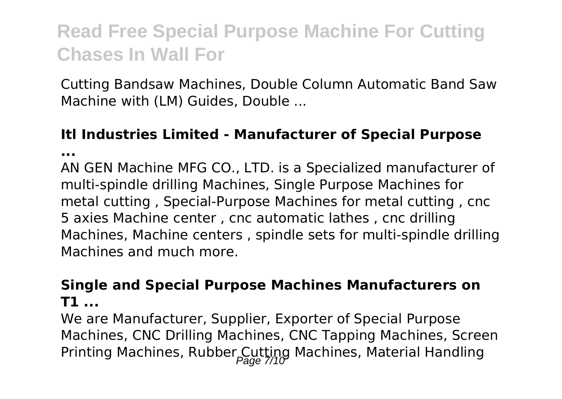Cutting Bandsaw Machines, Double Column Automatic Band Saw Machine with (LM) Guides, Double ...

### **Itl Industries Limited - Manufacturer of Special Purpose**

**...**

AN GEN Machine MFG CO., LTD. is a Specialized manufacturer of multi-spindle drilling Machines, Single Purpose Machines for metal cutting , Special-Purpose Machines for metal cutting , cnc 5 axies Machine center , cnc automatic lathes , cnc drilling Machines, Machine centers , spindle sets for multi-spindle drilling Machines and much more.

#### **Single and Special Purpose Machines Manufacturers on T1 ...**

We are Manufacturer, Supplier, Exporter of Special Purpose Machines, CNC Drilling Machines, CNC Tapping Machines, Screen Printing Machines, Rubber Cutting Machines, Material Handling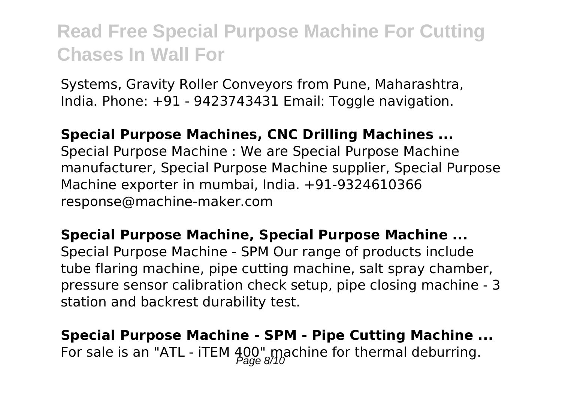Systems, Gravity Roller Conveyors from Pune, Maharashtra, India. Phone: +91 - 9423743431 Email: Toggle navigation.

#### **Special Purpose Machines, CNC Drilling Machines ...**

Special Purpose Machine : We are Special Purpose Machine manufacturer, Special Purpose Machine supplier, Special Purpose Machine exporter in mumbai, India. +91-9324610366 response@machine-maker.com

**Special Purpose Machine, Special Purpose Machine ...** Special Purpose Machine - SPM Our range of products include tube flaring machine, pipe cutting machine, salt spray chamber, pressure sensor calibration check setup, pipe closing machine - 3 station and backrest durability test.

**Special Purpose Machine - SPM - Pipe Cutting Machine ...** For sale is an "ATL - iTEM  $400^{\circ}$  machine for thermal deburring.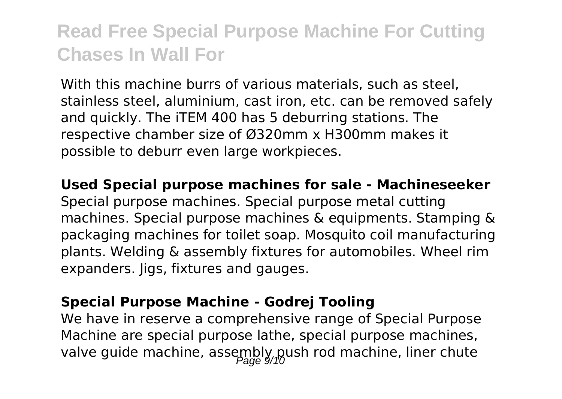With this machine burrs of various materials, such as steel, stainless steel, aluminium, cast iron, etc. can be removed safely and quickly. The iTEM 400 has 5 deburring stations. The respective chamber size of Ø320mm x H300mm makes it possible to deburr even large workpieces.

**Used Special purpose machines for sale - Machineseeker** Special purpose machines. Special purpose metal cutting machines. Special purpose machines & equipments. Stamping & packaging machines for toilet soap. Mosquito coil manufacturing plants. Welding & assembly fixtures for automobiles. Wheel rim expanders. Jigs, fixtures and gauges.

#### **Special Purpose Machine - Godrej Tooling**

We have in reserve a comprehensive range of Special Purpose Machine are special purpose lathe, special purpose machines, valve guide machine, assembly push rod machine, liner chute